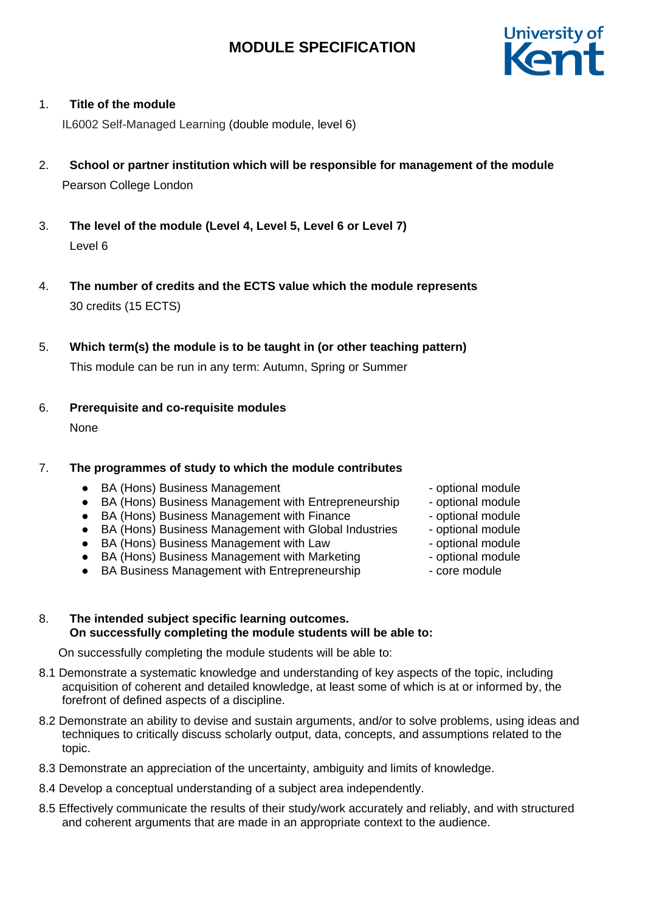

# 1. **Title of the module**

IL6002 Self-Managed Learning (double module, level 6)

- 2. **School or partner institution which will be responsible for management of the module** Pearson College London
- 3. **The level of the module (Level 4, Level 5, Level 6 or Level 7)** Level 6
- 4. **The number of credits and the ECTS value which the module represents**  30 credits (15 ECTS)
- 5. **Which term(s) the module is to be taught in (or other teaching pattern)**

This module can be run in any term: Autumn, Spring or Summer

6. **Prerequisite and co-requisite modules**

None

# 7. **The programmes of study to which the module contributes**

- BA (Hons) Business Management and the optional module
- BA (Hons) Business Management with Entrepreneurship optional module
- BA (Hons) Business Management with Finance optional module
- BA (Hons) Business Management with Global Industries optional module
- BA (Hons) Business Management with Law Figure optional module
- BA (Hons) Business Management with Marketing optional module
- BA Business Management with Entrepreneurship core module
- 
- 
- 
- 
- 
- -

### 8. **The intended subject specific learning outcomes. On successfully completing the module students will be able to:**

On successfully completing the module students will be able to:

- 8.1 Demonstrate a systematic knowledge and understanding of key aspects of the topic, including acquisition of coherent and detailed knowledge, at least some of which is at or informed by, the forefront of defined aspects of a discipline.
- 8.2 Demonstrate an ability to devise and sustain arguments, and/or to solve problems, using ideas and techniques to critically discuss scholarly output, data, concepts, and assumptions related to the topic.
- 8.3 Demonstrate an appreciation of the uncertainty, ambiguity and limits of knowledge.
- 8.4 Develop a conceptual understanding of a subject area independently.
- 8.5 Effectively communicate the results of their study/work accurately and reliably, and with structured and coherent arguments that are made in an appropriate context to the audience.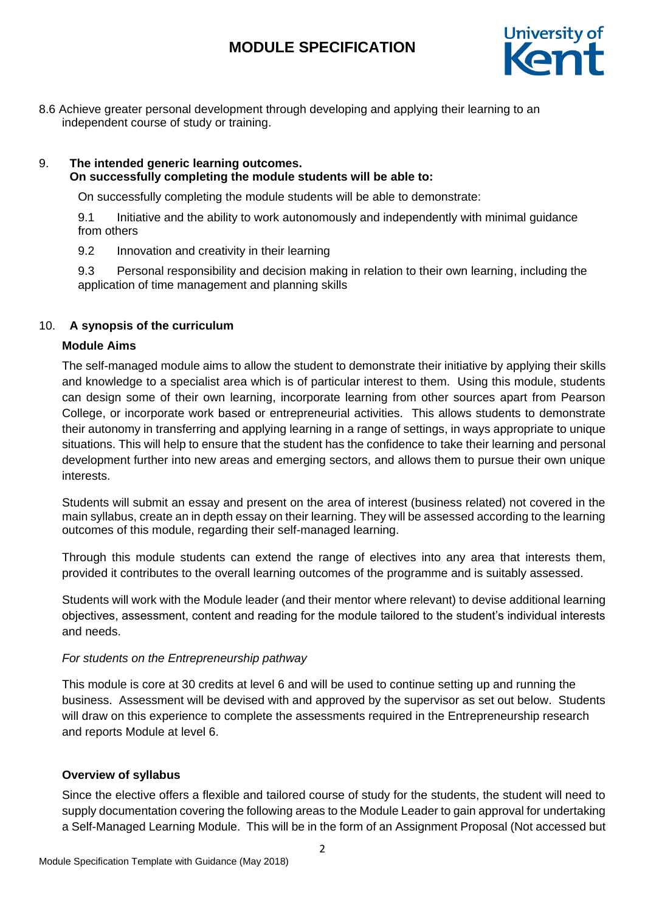

8.6 Achieve greater personal development through developing and applying their learning to an independent course of study or training.

# 9. **The intended generic learning outcomes. On successfully completing the module students will be able to:**

On successfully completing the module students will be able to demonstrate:

9.1 Initiative and the ability to work autonomously and independently with minimal guidance from others

9.2 Innovation and creativity in their learning

9.3 Personal responsibility and decision making in relation to their own learning, including the application of time management and planning skills

# 10. **A synopsis of the curriculum**

# **Module Aims**

The self-managed module aims to allow the student to demonstrate their initiative by applying their skills and knowledge to a specialist area which is of particular interest to them. Using this module, students can design some of their own learning, incorporate learning from other sources apart from Pearson College, or incorporate work based or entrepreneurial activities. This allows students to demonstrate their autonomy in transferring and applying learning in a range of settings, in ways appropriate to unique situations. This will help to ensure that the student has the confidence to take their learning and personal development further into new areas and emerging sectors, and allows them to pursue their own unique interests.

Students will submit an essay and present on the area of interest (business related) not covered in the main syllabus, create an in depth essay on their learning. They will be assessed according to the learning outcomes of this module, regarding their self-managed learning.

Through this module students can extend the range of electives into any area that interests them, provided it contributes to the overall learning outcomes of the programme and is suitably assessed.

Students will work with the Module leader (and their mentor where relevant) to devise additional learning objectives, assessment, content and reading for the module tailored to the student's individual interests and needs.

# *For students on the Entrepreneurship pathway*

This module is core at 30 credits at level 6 and will be used to continue setting up and running the business. Assessment will be devised with and approved by the supervisor as set out below. Students will draw on this experience to complete the assessments required in the Entrepreneurship research and reports Module at level 6.

# **Overview of syllabus**

Since the elective offers a flexible and tailored course of study for the students, the student will need to supply documentation covering the following areas to the Module Leader to gain approval for undertaking a Self-Managed Learning Module. This will be in the form of an Assignment Proposal (Not accessed but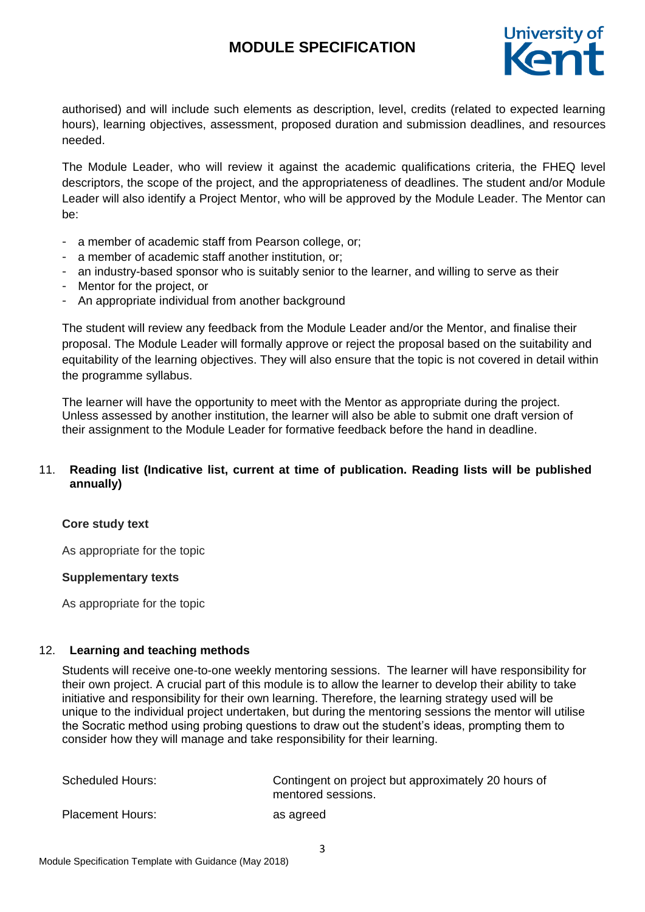

authorised) and will include such elements as description, level, credits (related to expected learning hours), learning objectives, assessment, proposed duration and submission deadlines, and resources needed.

The Module Leader, who will review it against the academic qualifications criteria, the FHEQ level descriptors, the scope of the project, and the appropriateness of deadlines. The student and/or Module Leader will also identify a Project Mentor, who will be approved by the Module Leader. The Mentor can be:

- a member of academic staff from Pearson college, or;
- a member of academic staff another institution, or;
- an industry-based sponsor who is suitably senior to the learner, and willing to serve as their
- Mentor for the project, or
- An appropriate individual from another background

The student will review any feedback from the Module Leader and/or the Mentor, and finalise their proposal. The Module Leader will formally approve or reject the proposal based on the suitability and equitability of the learning objectives. They will also ensure that the topic is not covered in detail within the programme syllabus.

The learner will have the opportunity to meet with the Mentor as appropriate during the project. Unless assessed by another institution, the learner will also be able to submit one draft version of their assignment to the Module Leader for formative feedback before the hand in deadline.

# 11. **Reading list (Indicative list, current at time of publication. Reading lists will be published annually)**

#### **Core study text**

As appropriate for the topic

#### **Supplementary texts**

As appropriate for the topic

#### 12. **Learning and teaching methods**

Students will receive one-to-one weekly mentoring sessions. The learner will have responsibility for their own project. A crucial part of this module is to allow the learner to develop their ability to take initiative and responsibility for their own learning. Therefore, the learning strategy used will be unique to the individual project undertaken, but during the mentoring sessions the mentor will utilise the Socratic method using probing questions to draw out the student's ideas, prompting them to consider how they will manage and take responsibility for their learning.

| <b>Scheduled Hours:</b> | Contingent on project but approximately 20 hours of<br>mentored sessions. |
|-------------------------|---------------------------------------------------------------------------|
| <b>Placement Hours:</b> | as agreed                                                                 |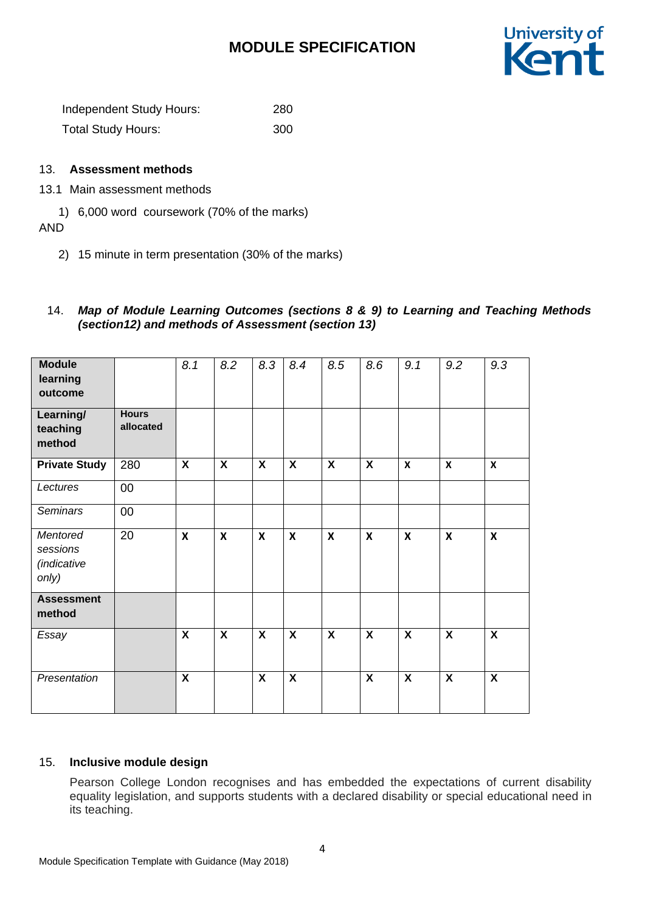

Independent Study Hours: 280 Total Study Hours: 300

## 13. **Assessment methods**

## 13.1 Main assessment methods

1) 6,000 word coursework (70% of the marks)

AND

2) 15 minute in term presentation (30% of the marks)

## 14. *Map of Module Learning Outcomes (sections 8 & 9) to Learning and Teaching Methods (section12) and methods of Assessment (section 13)*

| <b>Module</b><br>learning<br>outcome         |                           | 8.1                     | 8.2                       | 8.3                     | 8.4                     | 8.5                     | 8.6                       | 9.1                     | 9.2                       | 9.3                     |
|----------------------------------------------|---------------------------|-------------------------|---------------------------|-------------------------|-------------------------|-------------------------|---------------------------|-------------------------|---------------------------|-------------------------|
| Learning/<br>teaching<br>method              | <b>Hours</b><br>allocated |                         |                           |                         |                         |                         |                           |                         |                           |                         |
| <b>Private Study</b>                         | 280                       | X                       | $\boldsymbol{X}$          | X                       | X                       | X                       | $\boldsymbol{\mathsf{X}}$ | X                       | $\mathbf{x}$              | $\mathbf x$             |
| Lectures                                     | 00                        |                         |                           |                         |                         |                         |                           |                         |                           |                         |
| <b>Seminars</b>                              | 00                        |                         |                           |                         |                         |                         |                           |                         |                           |                         |
| Mentored<br>sessions<br>(indicative<br>only) | 20                        | $\mathbf{x}$            | $\boldsymbol{\mathsf{X}}$ | $\boldsymbol{x}$        | $\mathsf{x}$            | $\mathbf x$             | $\boldsymbol{\mathsf{X}}$ | X                       | $\boldsymbol{\mathsf{X}}$ | X                       |
| <b>Assessment</b><br>method                  |                           |                         |                           |                         |                         |                         |                           |                         |                           |                         |
|                                              |                           |                         |                           |                         |                         |                         |                           |                         |                           |                         |
| Essay                                        |                           | $\overline{\mathbf{X}}$ | $\overline{\mathbf{X}}$   | $\overline{\mathbf{X}}$ | $\overline{\mathbf{X}}$ | $\overline{\mathbf{X}}$ | $\overline{\mathbf{X}}$   | $\overline{\mathbf{x}}$ | $\overline{\mathbf{X}}$   | $\overline{\mathbf{X}}$ |
| Presentation                                 |                           | $\overline{\mathbf{x}}$ |                           | $\overline{\mathbf{X}}$ | $\overline{\mathbf{x}}$ |                         | $\overline{\mathbf{x}}$   | X                       | $\overline{\mathbf{X}}$   | $\overline{\mathbf{X}}$ |

# 15. **Inclusive module design**

Pearson College London recognises and has embedded the expectations of current disability equality legislation, and supports students with a declared disability or special educational need in its teaching.